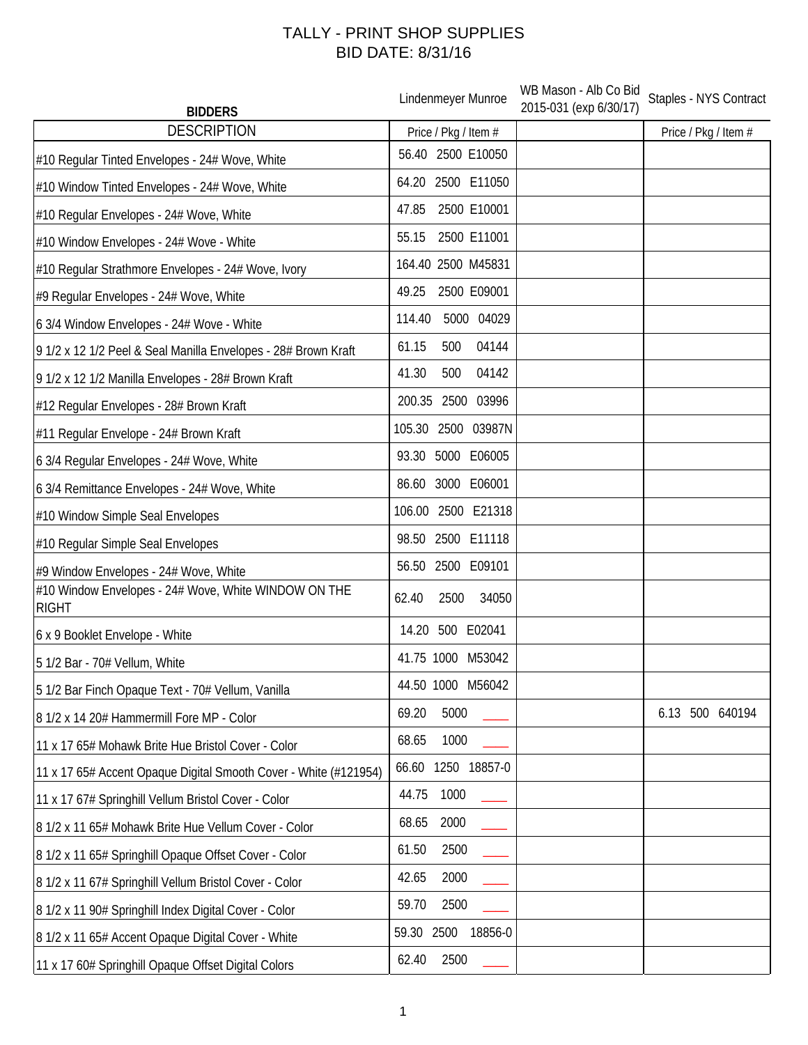## TALLY - PRINT SHOP SUPPLIES BID DATE: 8/31/16

| <b>BIDDERS</b>                                                       | Lindenmeyer Munroe       | WB Mason - Alb Co Bid<br>2015-031 (exp 6/30/17) | Staples - NYS Contract |
|----------------------------------------------------------------------|--------------------------|-------------------------------------------------|------------------------|
| <b>DESCRIPTION</b>                                                   | Price / Pkg / Item #     |                                                 | Price / Pkg / Item #   |
| #10 Regular Tinted Envelopes - 24# Wove, White                       | 56.40 2500 E10050        |                                                 |                        |
| #10 Window Tinted Envelopes - 24# Wove, White                        | 64.20 2500 E11050        |                                                 |                        |
| #10 Regular Envelopes - 24# Wove, White                              | 2500 E10001<br>47.85     |                                                 |                        |
| #10 Window Envelopes - 24# Wove - White                              | 2500 E11001<br>55.15     |                                                 |                        |
| #10 Regular Strathmore Envelopes - 24# Wove, Ivory                   | 164.40 2500 M45831       |                                                 |                        |
| #9 Regular Envelopes - 24# Wove, White                               | 2500 E09001<br>49.25     |                                                 |                        |
| 6 3/4 Window Envelopes - 24# Wove - White                            | 5000 04029<br>114.40     |                                                 |                        |
| 9 1/2 x 12 1/2 Peel & Seal Manilla Envelopes - 28# Brown Kraft       | 500<br>04144<br>61.15    |                                                 |                        |
| 9 1/2 x 12 1/2 Manilla Envelopes - 28# Brown Kraft                   | 41.30<br>04142<br>500    |                                                 |                        |
| #12 Regular Envelopes - 28# Brown Kraft                              | 200.35 2500 03996        |                                                 |                        |
| #11 Regular Envelope - 24# Brown Kraft                               | 105.30 2500 03987N       |                                                 |                        |
| 6 3/4 Regular Envelopes - 24# Wove, White                            | 93.30 5000 E06005        |                                                 |                        |
| 6 3/4 Remittance Envelopes - 24# Wove, White                         | 86.60 3000 E06001        |                                                 |                        |
| #10 Window Simple Seal Envelopes                                     | 106.00 2500 E21318       |                                                 |                        |
| #10 Regular Simple Seal Envelopes                                    | 98.50 2500 E11118        |                                                 |                        |
| #9 Window Envelopes - 24# Wove, White                                | 56.50 2500 E09101        |                                                 |                        |
| #10 Window Envelopes - 24# Wove, White WINDOW ON THE<br><b>RIGHT</b> | 62.40<br>2500<br>34050   |                                                 |                        |
| 6 x 9 Booklet Envelope - White                                       | 14.20 500 E02041         |                                                 |                        |
| 5 1/2 Bar - 70# Vellum, White                                        | 41.75 1000 M53042        |                                                 |                        |
| 5 1/2 Bar Finch Opaque Text - 70# Vellum, Vanilla                    | 44.50 1000 M56042        |                                                 |                        |
| 8 1/2 x 14 20# Hammermill Fore MP - Color                            | 5000<br>69.20            |                                                 | 6.13<br>500 640194     |
| 11 x 17 65# Mohawk Brite Hue Bristol Cover - Color                   | 68.65<br>1000            |                                                 |                        |
| 11 x 17 65# Accent Opaque Digital Smooth Cover - White (#121954)     | 66.60 1250 18857-0       |                                                 |                        |
| 11 x 17 67# Springhill Vellum Bristol Cover - Color                  | 44.75<br>1000            |                                                 |                        |
| 8 1/2 x 11 65# Mohawk Brite Hue Vellum Cover - Color                 | 68.65<br>2000            |                                                 |                        |
| 8 1/2 x 11 65# Springhill Opaque Offset Cover - Color                | 61.50<br>2500            |                                                 |                        |
| 8 1/2 x 11 67# Springhill Vellum Bristol Cover - Color               | 2000<br>42.65            |                                                 |                        |
| 8 1/2 x 11 90# Springhill Index Digital Cover - Color                | 2500<br>59.70            |                                                 |                        |
| 8 1/2 x 11 65# Accent Opaque Digital Cover - White                   | 59.30<br>2500<br>18856-0 |                                                 |                        |
| 11 x 17 60# Springhill Opaque Offset Digital Colors                  | 62.40<br>2500            |                                                 |                        |